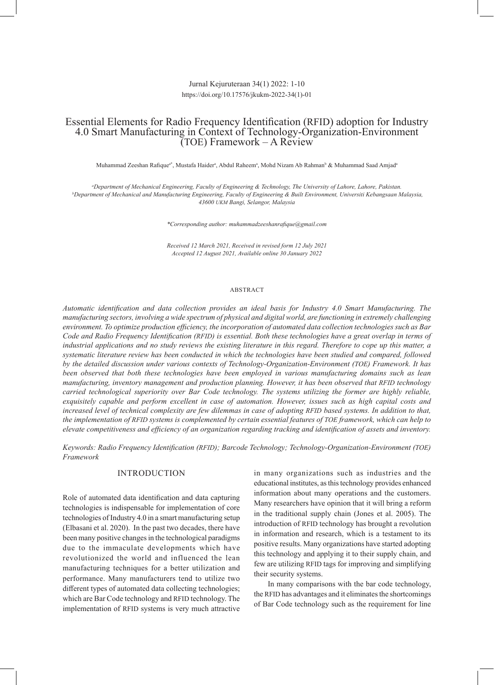# Jurnal Kejuruteraan 34(1) 2022: 1-10 https://doi.org/10.17576/jkukm-2022-34(1)-01

# Essential Elements for Radio Frequency Identification (RFID) adoption for Industry 4.0 Smart Manufacturing in Context of Technology-Organization-Environment (TOE) Framework – A Review

Muhammad Zeeshan Rafiqueª\*, Mustafa Haiderª, Abdul Raheemª, Mohd Nizam Ab Rahman<sup>b</sup> & Muhammad Saad Amjadª

*a Department of Mechanical Engineering, Faculty of Engineering & Technology, The University of Lahore, Lahore, Pakistan. b Department of Mechanical and Manufacturing Engineering, Faculty of Engineering & Built Environment, Universiti Kebangsaan Malaysia, 43600 UKM Bangi, Selangor, Malaysia*

*\*Corresponding author: muhammadzeeshanrafique@gmail.com*

*Received 12 March 2021, Received in revised form 12 July 2021 Accepted 12 August 2021, Available online 30 January 2022*

### ABSTRACT

*Automatic identification and data collection provides an ideal basis for Industry 4.0 Smart Manufacturing. The manufacturing sectors, involving a wide spectrum of physical and digital world, are functioning in extremely challenging environment. To optimize production efficiency, the incorporation of automated data collection technologies such as Bar Code and Radio Frequency Identification (RFID) is essential. Both these technologies have a great overlap in terms of industrial applications and no study reviews the existing literature in this regard. Therefore to cope up this matter, a systematic literature review has been conducted in which the technologies have been studied and compared, followed by the detailed discussion under various contexts of Technology-Organization-Environment (TOE) Framework. It has been observed that both these technologies have been employed in various manufacturing domains such as lean manufacturing, inventory management and production planning. However, it has been observed that RFID technology carried technological superiority over Bar Code technology. The systems utilizing the former are highly reliable, exquisitely capable and perform excellent in case of automation. However, issues such as high capital costs and increased level of technical complexity are few dilemmas in case of adopting RFID based systems. In addition to that, the implementation of RFID systems is complemented by certain essential features of TOE framework, which can help to elevate competitiveness and efficiency of an organization regarding tracking and identification of assets and inventory.*

*Keywords: Radio Frequency Identification (RFID); Barcode Technology; Technology-Organization-Environment (TOE) Framework*

### INTRODUCTION

Role of automated data identification and data capturing technologies is indispensable for implementation of core technologies of Industry 4.0 in a smart manufacturing setup (Elbasani et al. 2020). In the past two decades, there have been many positive changes in the technological paradigms due to the immaculate developments which have revolutionized the world and influenced the lean manufacturing techniques for a better utilization and performance. Many manufacturers tend to utilize two different types of automated data collecting technologies; which are Bar Code technology and RFID technology. The implementation of RFID systems is very much attractive

in many organizations such as industries and the educational institutes, as this technology provides enhanced information about many operations and the customers. Many researchers have opinion that it will bring a reform in the traditional supply chain (Jones et al. 2005). The introduction of RFID technology has brought a revolution in information and research, which is a testament to its positive results. Many organizations have started adopting this technology and applying it to their supply chain, and few are utilizing RFID tags for improving and simplifying their security systems.

In many comparisons with the bar code technology, the RFID has advantages and it eliminates the shortcomings of Bar Code technology such as the requirement for line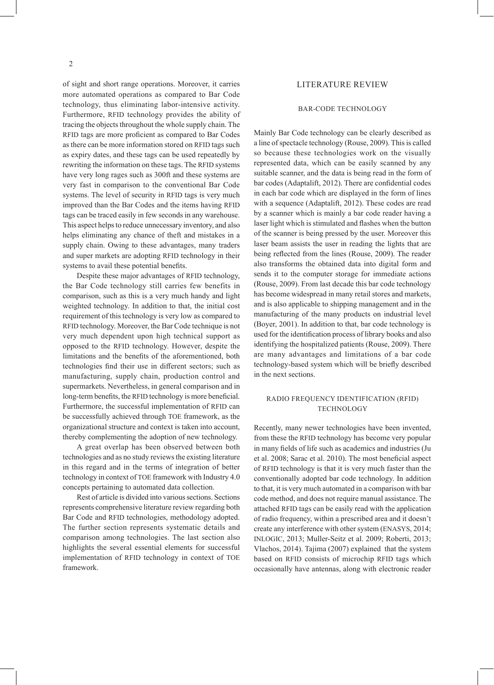of sight and short range operations. Moreover, it carries more automated operations as compared to Bar Code technology, thus eliminating labor-intensive activity. Furthermore, RFID technology provides the ability of tracing the objects throughout the whole supply chain. The RFID tags are more proficient as compared to Bar Codes as there can be more information stored on RFID tags such as expiry dates, and these tags can be used repeatedly by rewriting the information on these tags. The RFID systems have very long rages such as 300ft and these systems are very fast in comparison to the conventional Bar Code systems. The level of security in RFID tags is very much improved than the Bar Codes and the items having RFID tags can be traced easily in few seconds in any warehouse. This aspect helps to reduce unnecessary inventory, and also helps eliminating any chance of theft and mistakes in a supply chain. Owing to these advantages, many traders and super markets are adopting RFID technology in their systems to avail these potential benefits.

Despite these major advantages of RFID technology, the Bar Code technology still carries few benefits in comparison, such as this is a very much handy and light weighted technology. In addition to that, the initial cost requirement of this technology is very low as compared to RFID technology. Moreover, the Bar Code technique is not very much dependent upon high technical support as opposed to the RFID technology. However, despite the limitations and the benefits of the aforementioned, both technologies find their use in different sectors; such as manufacturing, supply chain, production control and supermarkets. Nevertheless, in general comparison and in long-term benefits, the RFID technology is more beneficial. Furthermore, the successful implementation of RFID can be successfully achieved through TOE framework, as the organizational structure and context is taken into account, thereby complementing the adoption of new technology.

A great overlap has been observed between both technologies and as no study reviews the existing literature in this regard and in the terms of integration of better technology in context of TOE framework with Industry 4.0 concepts pertaining to automated data collection.

Rest of article is divided into various sections. Sections represents comprehensive literature review regarding both Bar Code and RFID technologies, methodology adopted. The further section represents systematic details and comparison among technologies. The last section also highlights the several essential elements for successful implementation of RFID technology in context of TOE framework.

### LITERATURE REVIEW

### BAR-CODE TECHNOLOGY

Mainly Bar Code technology can be clearly described as a line of spectacle technology (Rouse, 2009). This is called so because these technologies work on the visually represented data, which can be easily scanned by any suitable scanner, and the data is being read in the form of bar codes (Adaptalift, 2012). There are confidential codes in each bar code which are displayed in the form of lines with a sequence (Adaptalift, 2012). These codes are read by a scanner which is mainly a bar code reader having a laser light which is stimulated and flashes when the button of the scanner is being pressed by the user. Moreover this laser beam assists the user in reading the lights that are being reflected from the lines (Rouse, 2009). The reader also transforms the obtained data into digital form and sends it to the computer storage for immediate actions (Rouse, 2009). From last decade this bar code technology has become widespread in many retail stores and markets, and is also applicable to shipping management and in the manufacturing of the many products on industrial level (Boyer, 2001). In addition to that, bar code technology is used for the identification process of library books and also identifying the hospitalized patients (Rouse, 2009). There are many advantages and limitations of a bar code technology-based system which will be briefly described in the next sections.

# RADIO FREQUENCY IDENTIFICATION (RFID) TECHNOLOGY

Recently, many newer technologies have been invented, from these the RFID technology has become very popular in many fields of life such as academics and industries (Ju et al. 2008; Sarac et al. 2010). The most beneficial aspect of RFID technology is that it is very much faster than the conventionally adopted bar code technology. In addition to that, it is very much automated in a comparison with bar code method, and does not require manual assistance. The attached RFID tags can be easily read with the application of radio frequency, within a prescribed area and it doesn't create any interference with other system (ENASYS, 2014; INLOGIC, 2013; Muller-Seitz et al. 2009; Roberti, 2013; Vlachos, 2014). Tajima (2007) explained that the system based on RFID consists of microchip RFID tags which occasionally have antennas, along with electronic reader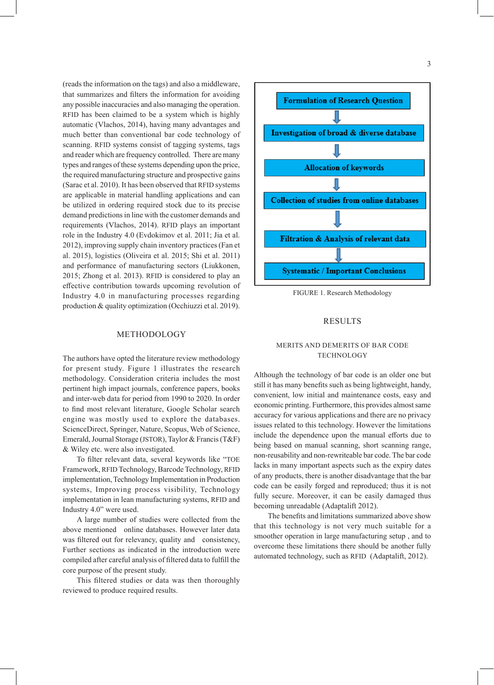(reads the information on the tags) and also a middleware, that summarizes and filters the information for avoiding any possible inaccuracies and also managing the operation. RFID has been claimed to be a system which is highly automatic (Vlachos, 2014), having many advantages and much better than conventional bar code technology of scanning. RFID systems consist of tagging systems, tags and reader which are frequency controlled. There are many types and ranges of these systems depending upon the price, the required manufacturing structure and prospective gains (Sarac et al. 2010). It has been observed that RFID systems are applicable in material handling applications and can be utilized in ordering required stock due to its precise demand predictions in line with the customer demands and requirements (Vlachos, 2014). RFID plays an important role in the Industry 4.0 (Evdokimov et al. 2011; Jia et al. 2012), improving supply chain inventory practices (Fan et al. 2015), logistics (Oliveira et al. 2015; Shi et al. 2011) and performance of manufacturing sectors (Liukkonen, 2015; Zhong et al. 2013). RFID is considered to play an effective contribution towards upcoming revolution of Industry 4.0 in manufacturing processes regarding production & quality optimization (Occhiuzzi et al. 2019).

### METHODOLOGY

The authors have opted the literature review methodology for present study. Figure 1 illustrates the research methodology. Consideration criteria includes the most pertinent high impact journals, conference papers, books and inter-web data for period from 1990 to 2020. In order to find most relevant literature, Google Scholar search engine was mostly used to explore the databases. ScienceDirect, Springer, Nature, Scopus, Web of Science, Emerald, Journal Storage (JSTOR), Taylor & Francis (T&F) & Wiley etc. were also investigated.

To filter relevant data, several keywords like "TOE Framework, RFID Technology, Barcode Technology, RFID implementation, Technology Implementation in Production systems, Improving process visibility, Technology implementation in lean manufacturing systems, RFID and Industry 4.0" were used.

A large number of studies were collected from the above mentioned online databases. However later data was filtered out for relevancy, quality and consistency, Further sections as indicated in the introduction were compiled after careful analysis of filtered data to fulfill the core purpose of the present study.

This filtered studies or data was then thoroughly reviewed to produce required results.



FIGURE 1. Research Methodology

#### RESULTS

### MERITS AND DEMERITS OF BAR CODE TECHNOLOGY

Although the technology of bar code is an older one but still it has many benefits such as being lightweight, handy, convenient, low initial and maintenance costs, easy and economic printing. Furthermore, this provides almost same accuracy for various applications and there are no privacy issues related to this technology. However the limitations include the dependence upon the manual efforts due to being based on manual scanning, short scanning range, non-reusability and non-rewriteable bar code. The bar code lacks in many important aspects such as the expiry dates of any products, there is another disadvantage that the bar code can be easily forged and reproduced; thus it is not fully secure. Moreover, it can be easily damaged thus becoming unreadable (Adaptalift 2012).

The benefits and limitations summarized above show that this technology is not very much suitable for a smoother operation in large manufacturing setup , and to overcome these limitations there should be another fully automated technology, such as RFID (Adaptalift, 2012).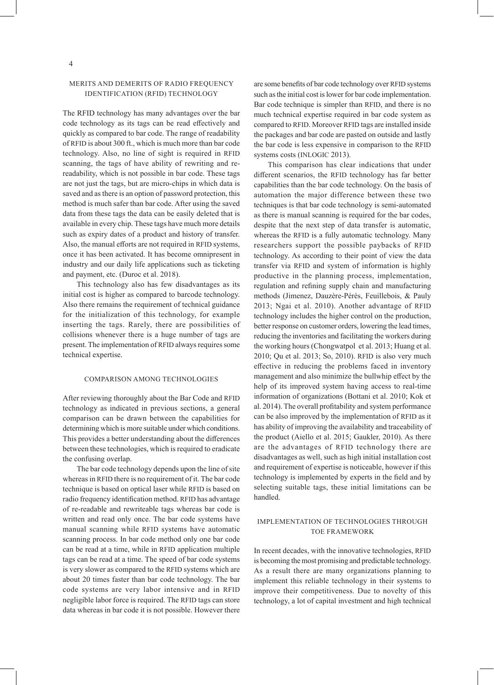# MERITS AND DEMERITS OF RADIO FREQUENCY IDENTIFICATION (RFID) TECHNOLOGY

The RFID technology has many advantages over the bar code technology as its tags can be read effectively and quickly as compared to bar code. The range of readability of RFID is about 300 ft., which is much more than bar code technology. Also, no line of sight is required in RFID scanning, the tags of have ability of rewriting and rereadability, which is not possible in bar code. These tags are not just the tags, but are micro-chips in which data is saved and as there is an option of password protection, this method is much safer than bar code. After using the saved data from these tags the data can be easily deleted that is available in every chip. These tags have much more details such as expiry dates of a product and history of transfer. Also, the manual efforts are not required in RFID systems, once it has been activated. It has become omnipresent in industry and our daily life applications such as ticketing and payment, etc. (Duroc et al. 2018).

This technology also has few disadvantages as its initial cost is higher as compared to barcode technology. Also there remains the requirement of technical guidance for the initialization of this technology, for example inserting the tags. Rarely, there are possibilities of collisions whenever there is a huge number of tags are present. The implementation of RFID always requires some technical expertise.

#### COMPARISON AMONG TECHNOLOGIES

After reviewing thoroughly about the Bar Code and RFID technology as indicated in previous sections, a general comparison can be drawn between the capabilities for determining which is more suitable under which conditions. This provides a better understanding about the differences between these technologies, which is required to eradicate the confusing overlap.

The bar code technology depends upon the line of site whereas in RFID there is no requirement of it. The bar code technique is based on optical laser while RFID is based on radio frequency identification method. RFID has advantage of re-readable and rewriteable tags whereas bar code is written and read only once. The bar code systems have manual scanning while RFID systems have automatic scanning process. In bar code method only one bar code can be read at a time, while in RFID application multiple tags can be read at a time. The speed of bar code systems is very slower as compared to the RFID systems which are about 20 times faster than bar code technology. The bar code systems are very labor intensive and in RFID negligible labor force is required. The RFID tags can store data whereas in bar code it is not possible. However there

are some benefits of bar code technology over RFID systems such as the initial cost is lower for bar code implementation. Bar code technique is simpler than RFID, and there is no much technical expertise required in bar code system as compared to RFID. Moreover RFID tags are installed inside the packages and bar code are pasted on outside and lastly the bar code is less expensive in comparison to the RFID systems costs (INLOGIC 2013).

This comparison has clear indications that under different scenarios, the RFID technology has far better capabilities than the bar code technology. On the basis of automation the major difference between these two techniques is that bar code technology is semi-automated as there is manual scanning is required for the bar codes, despite that the next step of data transfer is automatic, whereas the RFID is a fully automatic technology. Many researchers support the possible paybacks of RFID technology. As according to their point of view the data transfer via RFID and system of information is highly productive in the planning process, implementation, regulation and refining supply chain and manufacturing methods (Jimenez, Dauzère-Pérès, Feuillebois, & Pauly 2013; Ngai et al. 2010). Another advantage of RFID technology includes the higher control on the production, better response on customer orders, lowering the lead times, reducing the inventories and facilitating the workers during the working hours (Chongwatpol et al. 2013; Huang et al. 2010; Qu et al. 2013; So, 2010). RFID is also very much effective in reducing the problems faced in inventory management and also minimize the bullwhip effect by the help of its improved system having access to real-time information of organizations (Bottani et al. 2010; Kok et al. 2014). The overall profitability and system performance can be also improved by the implementation of RFID as it has ability of improving the availability and traceability of the product (Aiello et al. 2015; Gaukler, 2010). As there are the advantages of RFID technology there are disadvantages as well, such as high initial installation cost and requirement of expertise is noticeable, however if this technology is implemented by experts in the field and by selecting suitable tags, these initial limitations can be handled.

# IMPLEMENTATION OF TECHNOLOGIES THROUGH TOE FRAMEWORK

In recent decades, with the innovative technologies, RFID is becoming the most promising and predictable technology. As a result there are many organizations planning to implement this reliable technology in their systems to improve their competitiveness. Due to novelty of this technology, a lot of capital investment and high technical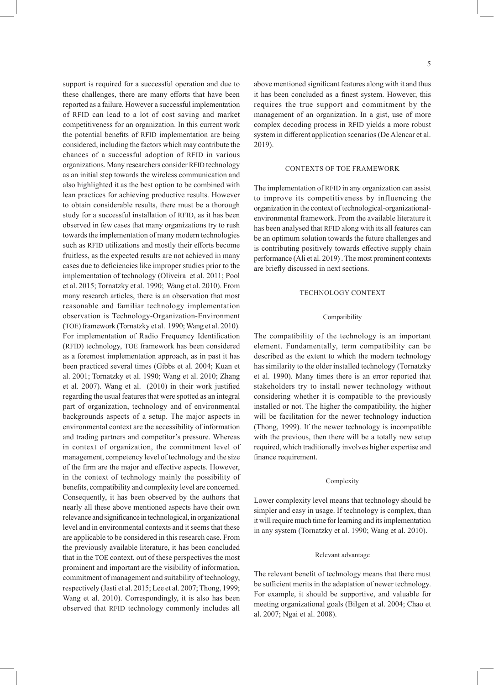support is required for a successful operation and due to these challenges, there are many efforts that have been reported as a failure. However a successful implementation of RFID can lead to a lot of cost saving and market competitiveness for an organization. In this current work the potential benefits of RFID implementation are being considered, including the factors which may contribute the chances of a successful adoption of RFID in various organizations. Many researchers consider RFID technology as an initial step towards the wireless communication and also highlighted it as the best option to be combined with lean practices for achieving productive results. However to obtain considerable results, there must be a thorough study for a successful installation of RFID, as it has been observed in few cases that many organizations try to rush towards the implementation of many modern technologies such as RFID utilizations and mostly their efforts become fruitless, as the expected results are not achieved in many cases due to deficiencies like improper studies prior to the implementation of technology (Oliveira et al. 2011; Pool et al. 2015; Tornatzky et al. 1990; Wang et al. 2010). From many research articles, there is an observation that most reasonable and familiar technology implementation observation is Technology-Organization-Environment (TOE) framework (Tornatzky et al. 1990; Wang et al. 2010). For implementation of Radio Frequency Identification (RFID) technology, TOE framework has been considered as a foremost implementation approach, as in past it has been practiced several times (Gibbs et al. 2004; Kuan et al. 2001; Tornatzky et al. 1990; Wang et al. 2010; Zhang et al. 2007). Wang et al. (2010) in their work justified regarding the usual features that were spotted as an integral part of organization, technology and of environmental backgrounds aspects of a setup. The major aspects in environmental context are the accessibility of information and trading partners and competitor's pressure. Whereas in context of organization, the commitment level of management, competency level of technology and the size of the firm are the major and effective aspects. However, in the context of technology mainly the possibility of benefits, compatibility and complexity level are concerned. Consequently, it has been observed by the authors that nearly all these above mentioned aspects have their own relevance and significance in technological, in organizational level and in environmental contexts and it seems that these are applicable to be considered in this research case. From the previously available literature, it has been concluded that in the TOE context, out of these perspectives the most prominent and important are the visibility of information, commitment of management and suitability of technology, respectively (Jasti et al. 2015; Lee et al. 2007; Thong, 1999; Wang et al. 2010). Correspondingly, it is also has been observed that RFID technology commonly includes all

5

above mentioned significant features along with it and thus it has been concluded as a finest system. However, this requires the true support and commitment by the management of an organization. In a gist, use of more complex decoding process in RFID yields a more robust system in different application scenarios (De Alencar et al. 2019).

### CONTEXTS OF TOE FRAMEWORK

The implementation of RFID in any organization can assist to improve its competitiveness by influencing the organization in the context of technological-organizationalenvironmental framework. From the available literature it has been analysed that RFID along with its all features can be an optimum solution towards the future challenges and is contributing positively towards effective supply chain performance (Ali et al. 2019) . The most prominent contexts are briefly discussed in next sections.

#### TECHNOLOGY CONTEXT

#### Compatibility

The compatibility of the technology is an important element. Fundamentally, term compatibility can be described as the extent to which the modern technology has similarity to the older installed technology (Tornatzky et al. 1990). Many times there is an error reported that stakeholders try to install newer technology without considering whether it is compatible to the previously installed or not. The higher the compatibility, the higher will be facilitation for the newer technology induction (Thong, 1999). If the newer technology is incompatible with the previous, then there will be a totally new setup required, which traditionally involves higher expertise and finance requirement.

#### Complexity

Lower complexity level means that technology should be simpler and easy in usage. If technology is complex, than it will require much time for learning and its implementation in any system (Tornatzky et al. 1990; Wang et al. 2010).

#### Relevant advantage

The relevant benefit of technology means that there must be sufficient merits in the adaptation of newer technology. For example, it should be supportive, and valuable for meeting organizational goals (Bilgen et al. 2004; Chao et al. 2007; Ngai et al. 2008).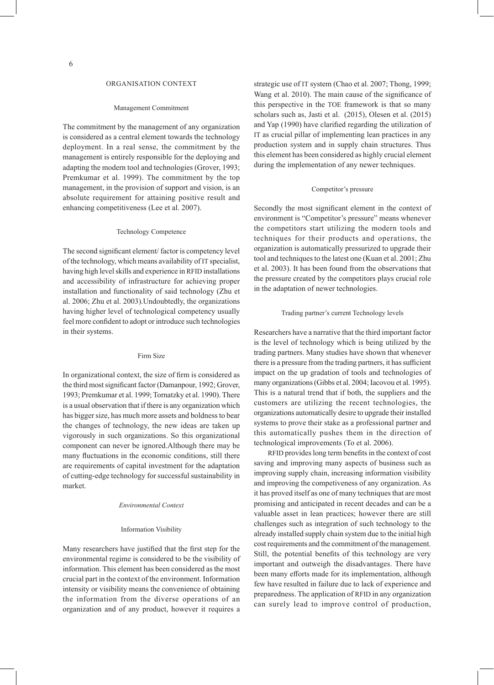#### ORGANISATION CONTEXT

#### Management Commitment

The commitment by the management of any organization is considered as a central element towards the technology deployment. In a real sense, the commitment by the management is entirely responsible for the deploying and adapting the modern tool and technologies (Grover, 1993; Premkumar et al. 1999). The commitment by the top management, in the provision of support and vision, is an absolute requirement for attaining positive result and enhancing competitiveness (Lee et al. 2007).

#### Technology Competence

The second significant element/ factor is competency level of the technology, which means availability of IT specialist, having high level skills and experience in RFID installations and accessibility of infrastructure for achieving proper installation and functionality of said technology (Zhu et al. 2006; Zhu et al. 2003).Undoubtedly, the organizations having higher level of technological competency usually feel more confident to adopt or introduce such technologies in their systems.

#### Firm Size

In organizational context, the size of firm is considered as the third most significant factor (Damanpour, 1992; Grover, 1993; Premkumar et al. 1999; Tornatzky et al. 1990). There is a usual observation that if there is any organization which has bigger size, has much more assets and boldness to bear the changes of technology, the new ideas are taken up vigorously in such organizations. So this organizational component can never be ignored.Although there may be many fluctuations in the economic conditions, still there are requirements of capital investment for the adaptation of cutting-edge technology for successful sustainability in market.

#### *Environmental Context*

#### Information Visibility

Many researchers have justified that the first step for the environmental regime is considered to be the visibility of information. This element has been considered as the most crucial part in the context of the environment. Information intensity or visibility means the convenience of obtaining the information from the diverse operations of an organization and of any product, however it requires a

strategic use of IT system (Chao et al. 2007; Thong, 1999; Wang et al. 2010). The main cause of the significance of this perspective in the TOE framework is that so many scholars such as, Jasti et al. (2015), Olesen et al. (2015) and Yap (1990) have clarified regarding the utilization of IT as crucial pillar of implementing lean practices in any production system and in supply chain structures. Thus this element has been considered as highly crucial element during the implementation of any newer techniques.

#### Competitor's pressure

Secondly the most significant element in the context of environment is "Competitor's pressure" means whenever the competitors start utilizing the modern tools and techniques for their products and operations, the organization is automatically pressurized to upgrade their tool and techniques to the latest one (Kuan et al. 2001; Zhu et al. 2003). It has been found from the observations that the pressure created by the competitors plays crucial role in the adaptation of newer technologies.

#### Trading partner's current Technology levels

Researchers have a narrative that the third important factor is the level of technology which is being utilized by the trading partners. Many studies have shown that whenever there is a pressure from the trading partners, it has sufficient impact on the up gradation of tools and technologies of many organizations (Gibbs et al. 2004; Iacovou et al. 1995). This is a natural trend that if both, the suppliers and the customers are utilizing the recent technologies, the organizations automatically desire to upgrade their installed systems to prove their stake as a professional partner and this automatically pushes them in the direction of technological improvements (To et al. 2006).

RFID provides long term benefits in the context of cost saving and improving many aspects of business such as improving supply chain, increasing information visibility and improving the competiveness of any organization. As it has proved itself as one of many techniques that are most promising and anticipated in recent decades and can be a valuable asset in lean practices; however there are still challenges such as integration of such technology to the already installed supply chain system due to the initial high cost requirements and the commitment of the management. Still, the potential benefits of this technology are very important and outweigh the disadvantages. There have been many efforts made for its implementation, although few have resulted in failure due to lack of experience and preparedness. The application of RFID in any organization can surely lead to improve control of production,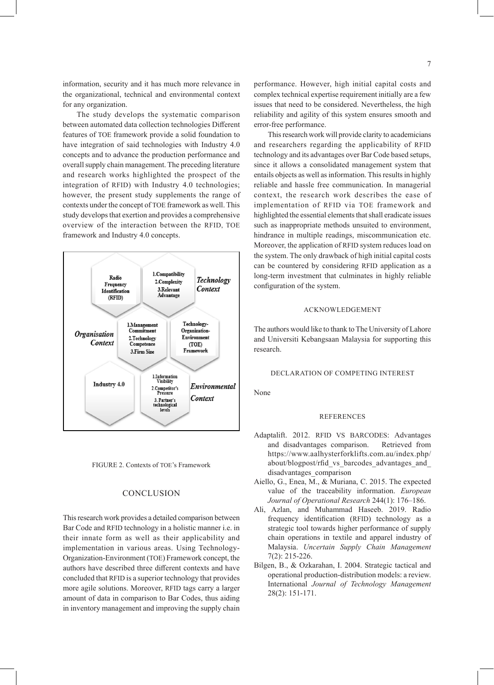information, security and it has much more relevance in the organizational, technical and environmental context for any organization.

The study develops the systematic comparison between automated data collection technologies Different features of TOE framework provide a solid foundation to have integration of said technologies with Industry 4.0 concepts and to advance the production performance and overall supply chain management. The preceding literature and research works highlighted the prospect of the integration of RFID) with Industry 4.0 technologies; however, the present study supplements the range of contexts under the concept of TOE framework as well. This study develops that exertion and provides a comprehensive overview of the interaction between the RFID, TOE framework and Industry 4.0 concepts.





### **CONCLUSION**

This research work provides a detailed comparison between Bar Code and RFID technology in a holistic manner i.e. in their innate form as well as their applicability and implementation in various areas. Using Technology-Organization-Environment (TOE) Framework concept, the authors have described three different contexts and have concluded that RFID is a superior technology that provides more agile solutions. Moreover, RFID tags carry a larger amount of data in comparison to Bar Codes, thus aiding in inventory management and improving the supply chain performance. However, high initial capital costs and complex technical expertise requirement initially are a few issues that need to be considered. Nevertheless, the high reliability and agility of this system ensures smooth and error-free performance.

This research work will provide clarity to academicians and researchers regarding the applicability of RFID technology and its advantages over Bar Code based setups, since it allows a consolidated management system that entails objects as well as information. This results in highly reliable and hassle free communication. In managerial context, the research work describes the ease of implementation of RFID via TOE framework and highlighted the essential elements that shall eradicate issues such as inappropriate methods unsuited to environment, hindrance in multiple readings, miscommunication etc. Moreover, the application of RFID system reduces load on the system. The only drawback of high initial capital costs can be countered by considering RFID application as a long-term investment that culminates in highly reliable configuration of the system.

### ACKNOWLEDGEMENT

The authors would like to thank to The University of Lahore and Universiti Kebangsaan Malaysia for supporting this research.

#### DECLARATION OF COMPETING INTEREST

None

#### REFERENCES

- Adaptalift. 2012. RFID VS BARCODES: Advantages and disadvantages comparison. Retrieved from https://www.aalhysterforklifts.com.au/index.php/ about/blogpost/rfid\_vs\_barcodes\_advantages\_and\_ disadvantages\_comparison
- Aiello, G., Enea, M., & Muriana, C. 2015. The expected value of the traceability information. *European Journal of Operational Research* 244(1): 176–186.
- Ali, Azlan, and Muhammad Haseeb. 2019. Radio frequency identification (RFID) technology as a strategic tool towards higher performance of supply chain operations in textile and apparel industry of Malaysia. *Uncertain Supply Chain Management*  7(2): 215-226.
- Bilgen, B., & Ozkarahan, I. 2004. Strategic tactical and operational production-distribution models: a review. International *Journal of Technology Management*  28(2): 151-171.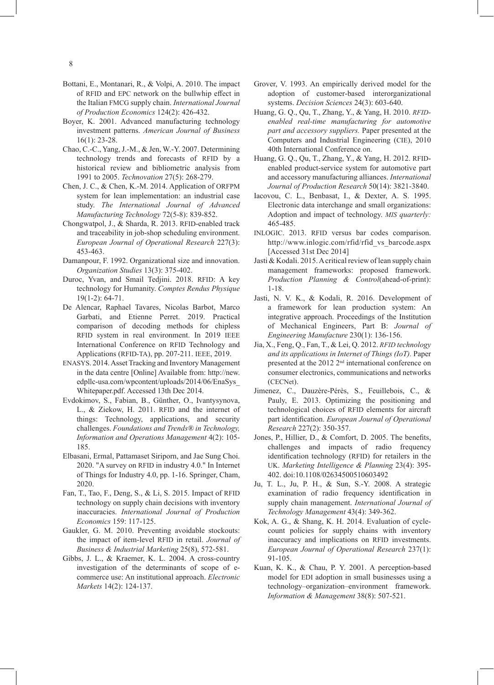- Bottani, E., Montanari, R., & Volpi, A. 2010. The impact of RFID and EPC network on the bullwhip effect in the Italian FMCG supply chain. *International Journal of Production Economics* 124(2): 426-432.
- Boyer, K. 2001. Advanced manufacturing technology investment patterns. *American Journal of Business*  16(1): 23-28.
- Chao, C.-C., Yang, J.-M., & Jen, W.-Y. 2007. Determining technology trends and forecasts of RFID by a historical review and bibliometric analysis from 1991 to 2005. *Technovation* 27(5): 268-279.
- Chen, J. C., & Chen, K.-M. 2014. Application of ORFPM system for lean implementation: an industrial case study. *The International Journal of Advanced Manufacturing Technology* 72(5-8): 839-852.
- Chongwatpol, J., & Sharda, R. 2013. RFID-enabled track and traceability in job-shop scheduling environment. *European Journal of Operational Research* 227(3): 453-463.
- Damanpour, F. 1992. Organizational size and innovation. *Organization Studies* 13(3): 375-402.
- Duroc, Yvan, and Smail Tedjini. 2018. RFID: A key technology for Humanity. *Comptes Rendus Physique*  19(1-2): 64-71.
- De Alencar, Raphael Tavares, Nicolas Barbot, Marco Garbati, and Etienne Perret. 2019. Practical comparison of decoding methods for chipless RFID system in real environment. In 2019 IEEE International Conference on RFID Technology and Applications (RFID-TA), pp. 207-211. IEEE, 2019.
- ENASYS. 2014. Asset Tracking and Inventory Management in the data centre [Online] Available from: http://new. edpllc-usa.com/wpcontent/uploads/2014/06/EnaSys\_ Whitepaper.pdf. Accessed 13th Dec 2014.
- Evdokimov, S., Fabian, B., Günther, O., Ivantysynova, L., & Ziekow, H. 2011. RFID and the internet of things: Technology, applications, and security challenges. *Foundations and Trends® in Technology, Information and Operations Management* 4(2): 105- 185.
- Elbasani, Ermal, Pattamaset Siriporn, and Jae Sung Choi. 2020. "A survey on RFID in industry 4.0." In Internet of Things for Industry 4.0, pp. 1-16. Springer, Cham, 2020.
- Fan, T., Tao, F., Deng, S., & Li, S. 2015. Impact of RFID technology on supply chain decisions with inventory inaccuracies. *International Journal of Production Economics* 159: 117-125.
- Gaukler, G. M. 2010. Preventing avoidable stockouts: the impact of item-level RFID in retail. *Journal of Business & Industrial Marketing* 25(8), 572-581.
- Gibbs, J. L., & Kraemer, K. L. 2004. A cross-country investigation of the determinants of scope of e‐ commerce use: An institutional approach. *Electronic Markets* 14(2): 124-137.
- Grover, V. 1993. An empirically derived model for the adoption of customer‐based interorganizational systems. *Decision Sciences* 24(3): 603-640.
- Huang, G. Q., Qu, T., Zhang, Y., & Yang, H. 2010. *RFIDenabled real-time manufacturing for automotive part and accessory suppliers.* Paper presented at the Computers and Industrial Engineering (CIE), 2010 40th International Conference on.
- Huang, G. Q., Qu, T., Zhang, Y., & Yang, H. 2012. RFIDenabled product-service system for automotive part and accessory manufacturing alliances. *International Journal of Production Research* 50(14): 3821-3840.
- Iacovou, C. L., Benbasat, I., & Dexter, A. S. 1995. Electronic data interchange and small organizations: Adoption and impact of technology. *MIS quarterly:*  465-485.
- INLOGIC. 2013. RFID versus bar codes comparison. http://www.inlogic.com/rfid/rfid\_vs\_barcode.aspx [Accessed 31st Dec 2014]
- Jasti & Kodali. 2015. A critical review of lean supply chain management frameworks: proposed framework. *Production Planning & Control*(ahead-of-print): 1-18.
- Jasti, N. V. K., & Kodali, R. 2016. Development of a framework for lean production system: An integrative approach. Proceedings of the Institution of Mechanical Engineers, Part B: *Journal of Engineering Manufacture* 230(1): 136-156.
- Jia, X., Feng, Q., Fan, T., & Lei, Q. 2012. *RFID technology and its applications in Internet of Things (IoT).* Paper presented at the 2012 2nd international conference on consumer electronics, communications and networks (CECNet).
- Jimenez, C., Dauzère-Pérès, S., Feuillebois, C., & Pauly, E. 2013. Optimizing the positioning and technological choices of RFID elements for aircraft part identification. *European Journal of Operational Research* 227(2): 350-357.
- Jones, P., Hillier, D., & Comfort, D. 2005. The benefits, challenges and impacts of radio frequency identification technology (RFID) for retailers in the UK. *Marketing Intelligence & Planning* 23(4): 395- 402. doi:10.1108/02634500510603492
- Ju, T. L., Ju, P. H., & Sun, S.-Y. 2008. A strategic examination of radio frequency identification in supply chain management. *International Journal of Technology Management* 43(4): 349-362.
- Kok, A. G., & Shang, K. H. 2014. Evaluation of cyclecount policies for supply chains with inventory inaccuracy and implications on RFID investments. *European Journal of Operational Research* 237(1): 91-105.
- Kuan, K. K., & Chau, P. Y. 2001. A perception-based model for EDI adoption in small businesses using a technology–organization–environment framework. *Information & Management* 38(8): 507-521.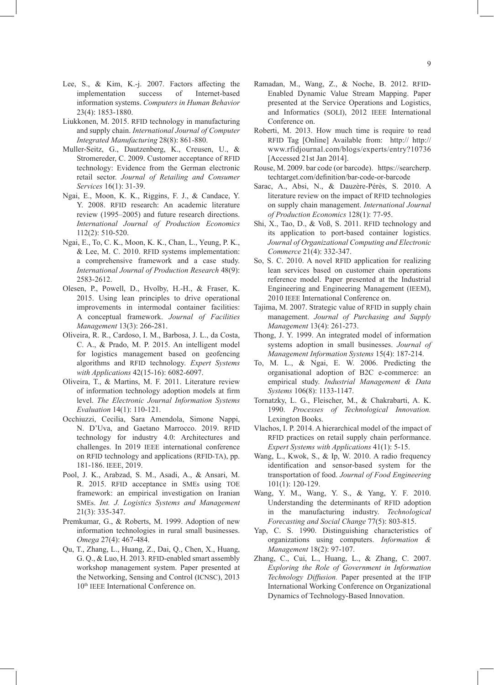- Lee, S., & Kim, K.-j. 2007. Factors affecting the implementation success of Internet-based information systems. *Computers in Human Behavior*  23(4): 1853-1880.
- Liukkonen, M. 2015. RFID technology in manufacturing and supply chain. *International Journal of Computer Integrated Manufacturing* 28(8): 861-880.
- Muller-Seitz, G., Dautzenberg, K., Creusen, U., & Stromereder, C. 2009. Customer acceptance of RFID technology: Evidence from the German electronic retail sector. *Journal of Retailing and Consumer Services* 16(1): 31-39.
- Ngai, E., Moon, K. K., Riggins, F. J., & Candace, Y. Y. 2008. RFID research: An academic literature review (1995–2005) and future research directions. *International Journal of Production Economics* 112(2): 510-520.
- Ngai, E., To, C. K., Moon, K. K., Chan, L., Yeung, P. K., & Lee, M. C. 2010. RFID systems implementation: a comprehensive framework and a case study. *International Journal of Production Research* 48(9): 2583-2612.
- Olesen, P., Powell, D., Hvolby, H.-H., & Fraser, K. 2015. Using lean principles to drive operational improvements in intermodal container facilities: A conceptual framework. *Journal of Facilities Management* 13(3): 266-281.
- Oliveira, R. R., Cardoso, I. M., Barbosa, J. L., da Costa, C. A., & Prado, M. P. 2015. An intelligent model for logistics management based on geofencing algorithms and RFID technology. *Expert Systems with Applications* 42(15-16): 6082-6097.
- Oliveira, T., & Martins, M. F. 2011. Literature review of information technology adoption models at firm level. *The Electronic Journal Information Systems Evaluation* 14(1): 110-121.
- Occhiuzzi, Cecilia, Sara Amendola, Simone Nappi, N. D'Uva, and Gaetano Marrocco. 2019. RFID technology for industry 4.0: Architectures and challenges. In 2019 IEEE international conference on RFID technology and applications (RFID-TA), pp. 181-186. IEEE, 2019.
- Pool, J. K., Arabzad, S. M., Asadi, A., & Ansari, M. R. 2015. RFID acceptance in SMEs using TOE framework: an empirical investigation on Iranian SMEs. *Int. J. Logistics Systems and Management* 21(3): 335-347.
- Premkumar, G., & Roberts, M. 1999. Adoption of new information technologies in rural small businesses. *Omega* 27(4): 467-484.
- Qu, T., Zhang, L., Huang, Z., Dai, Q., Chen, X., Huang, G. Q., & Luo, H. 2013. RFID-enabled smart assembly workshop management system. Paper presented at the Networking, Sensing and Control (ICNSC), 2013 10<sup>th</sup> IEEE International Conference on.
- Ramadan, M., Wang, Z., & Noche, B. 2012. RFID-Enabled Dynamic Value Stream Mapping. Paper presented at the Service Operations and Logistics, and Informatics (SOLI), 2012 IEEE International Conference on.
- Roberti, M. 2013. How much time is require to read RFID Tag [Online] Available from: http:// http:// www.rfidjournal.com/blogs/experts/entry?10736 [Accessed 21st Jan 2014].
- Rouse, M. 2009. bar code (or barcode). https://searcherp. techtarget.com/definition/bar-code-or-barcode
- Sarac, A., Absi, N., & Dauzère-Pérès, S. 2010. A literature review on the impact of RFID technologies on supply chain management. *International Journal of Production Economics* 128(1): 77-95.
- Shi, X., Tao, D., & Voß, S. 2011. RFID technology and its application to port-based container logistics. *Journal of Organizational Computing and Electronic Commerce* 21(4): 332-347.
- So, S. C. 2010. A novel RFID application for realizing lean services based on customer chain operations reference model. Paper presented at the Industrial Engineering and Engineering Management (IEEM), 2010 IEEE International Conference on.
- Tajima, M. 2007. Strategic value of RFID in supply chain management. *Journal of Purchasing and Supply Management* 13(4): 261-273.
- Thong, J. Y. 1999. An integrated model of information systems adoption in small businesses. *Journal of Management Information Systems* 15(4): 187-214.
- To, M. L., & Ngai, E. W. 2006. Predicting the organisational adoption of B2C e-commerce: an empirical study. *Industrial Management & Data Systems* 106(8): 1133-1147.
- Tornatzky, L. G., Fleischer, M., & Chakrabarti, A. K. 1990. *Processes of Technological Innovation.* Lexington Books.
- Vlachos, I. P. 2014. A hierarchical model of the impact of RFID practices on retail supply chain performance. *Expert Systems with Applications* 41(1): 5-15.
- Wang, L., Kwok, S., & Ip, W. 2010. A radio frequency identification and sensor-based system for the transportation of food. *Journal of Food Engineering*  101(1): 120-129.
- Wang, Y. M., Wang, Y. S., & Yang, Y. F. 2010. Understanding the determinants of RFID adoption in the manufacturing industry. *Technological Forecasting and Social Change* 77(5): 803-815.
- Yap, C. S. 1990. Distinguishing characteristics of organizations using computers. *Information & Management* 18(2): 97-107.
- Zhang, C., Cui, L., Huang, L., & Zhang, C. 2007. *Exploring the Role of Government in Information Technology Diffusion.* Paper presented at the IFIP International Working Conference on Organizational Dynamics of Technology-Based Innovation.